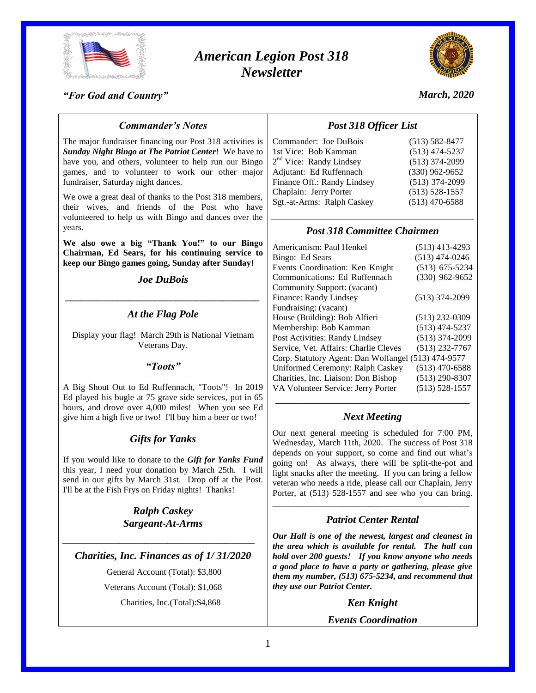

# *American Legion Post 318 Newsletter*



### *"For God and Country"*

## *March, 2020*

## *Commander's Notes*

The major fundraiser financing our Post 318 activities is *Sunday Night Bingo at The Patriot Center*! We have to have you, and others, volunteer to help run our Bingo games, and to volunteer to work our other major fundraiser, Saturday night dances.

We owe a great deal of thanks to the Post 318 members, their wives, and friends of the Post who have volunteered to help us with Bingo and dances over the years.

**We also owe a big "Thank You!" to our Bingo Chairman, Ed Sears, for his continuing service to keep our Bingo games going, Sunday after Sunday!**

# *Joe DuBois \_\_\_\_\_\_\_\_\_\_\_\_\_\_\_\_\_\_\_\_\_\_\_\_\_\_\_\_\_\_\_\_\_\_\_\_\_*

## *At the Flag Pole*

Display your flag! March 29th is National Vietnam Veterans Day.

### *"Toots"*

A Big Shout Out to Ed Ruffennach, "Toots"! In 2019 Ed played his bugle at 75 grave side services, put in 65 hours, and drove over 4,000 miles! When you see Ed give him a high five or two! I'll buy him a beer or two!

## *Gifts for Yanks*

If you would like to donate to the *Gift for Yanks Fund* this year, I need your donation by March 25th. I will send in our gifts by March 31st. Drop off at the Post. I'll be at the Fish Frys on Friday nights! Thanks!

> *Ralph Caskey Sargeant-At-Arms*

*Charities, Inc. Finances as of 1/ 31/2020*

*\_\_\_\_\_\_\_\_\_\_\_\_\_\_\_\_\_\_\_\_\_\_\_\_\_\_\_\_\_\_\_\_\_\_\_\_\_\_\_\_\_\_\_\_*

General Account (Total): \$3,800 Veterans Account (Total): \$1,068 Charities, Inc.(Total):\$4,868

## *Post 318 Officer List*

| Commander: Joe DuBois               | $(513) 582 - 8477$ |
|-------------------------------------|--------------------|
| 1st Vice: Bob Kamman                | $(513)$ 474-5237   |
| 2 <sup>nd</sup> Vice: Randy Lindsey | $(513)$ 374-2099   |
| Adjutant: Ed Ruffennach             | $(330)$ 962-9652   |
| Finance Off.: Randy Lindsey         | $(513)$ 374-2099   |
| Chaplain: Jerry Porter              | $(513) 528 - 1557$ |
| Sgt.-at-Arms: Ralph Caskey          | $(513)$ 470-6588   |
|                                     |                    |

## *Post 318 Committee Chairmen*

| Americanism: Paul Henkel                            | $(513)$ 413-4293   |
|-----------------------------------------------------|--------------------|
| Bingo: Ed Sears                                     | $(513)$ 474-0246   |
| Events Coordination: Ken Knight                     | $(513)$ 675-5234   |
| Communications: Ed Ruffennach                       | $(330)$ 962-9652   |
| Community Support: (vacant)                         |                    |
| Finance: Randy Lindsey                              | $(513)$ 374-2099   |
| Fundraising: (vacant)                               |                    |
| House (Building): Bob Alfieri                       | $(513)$ 232-0309   |
| Membership: Bob Kamman                              | $(513)$ 474-5237   |
| Post Activities: Randy Lindsey                      | $(513)$ 374-2099   |
| Service, Vet. Affairs: Charlie Cleves               | $(513)$ 232-7767   |
| Corp. Statutory Agent: Dan Wolfangel (513) 474-9577 |                    |
| Uniformed Ceremony: Ralph Caskey                    | $(513)$ 470-6588   |
| Charities, Inc. Liaison: Don Bishop                 | $(513)$ 290-8307   |
| VA Volunteer Service: Jerry Porter                  | $(513) 528 - 1557$ |
|                                                     |                    |

## *Next Meeting*

Our next general meeting is scheduled for 7:00 PM, Wednesday, March 11th, 2020. The success of Post 318 depends on your support, so come and find out what's going on! As always, there will be split-the-pot and light snacks after the meeting. If you can bring a fellow veteran who needs a ride, please call our Chaplain, Jerry Porter, at (513) 528-1557 and see who you can bring.

## \_\_\_\_\_\_\_\_\_\_\_\_\_\_\_\_\_\_\_\_\_\_\_\_\_\_\_\_\_\_\_\_\_\_\_\_\_\_\_\_\_\_\_\_\_ *Patriot Center Rental*

*Our Hall is one of the newest, largest and cleanest in the area which is available for rental. The hall can hold over 200 guests! If you know anyone who needs a good place to have a party or gathering, please give them my number, (513) 675-5234, and recommend that they use our Patriot Center.*

*Ken Knight*

*Events Coordination*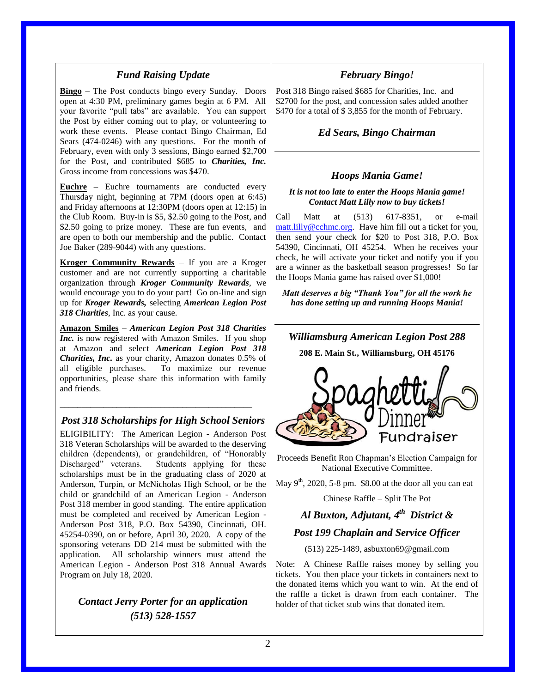### *Fund Raising Update*

**Bingo** – The Post conducts bingo every Sunday. Doors open at 4:30 PM, preliminary games begin at 6 PM. All your favorite "pull tabs" are available. You can support the Post by either coming out to play, or volunteering to work these events. Please contact Bingo Chairman, Ed Sears (474-0246) with any questions. For the month of February, even with only 3 sessions, Bingo earned \$2,700 for the Post, and contributed \$685 to *Charities, Inc.* Gross income from concessions was \$470.

**Euchre** – Euchre tournaments are conducted every Thursday night, beginning at 7PM (doors open at 6:45) and Friday afternoons at 12:30PM (doors open at 12:15) in the Club Room. Buy-in is \$5, \$2.50 going to the Post, and \$2.50 going to prize money. These are fun events, and are open to both our membership and the public. Contact Joe Baker (289-9044) with any questions.

**Kroger Community Rewards** – If you are a Kroger customer and are not currently supporting a charitable organization through *Kroger Community Rewards*, we would encourage you to do your part! Go on-line and sign up for *Kroger Rewards,* selecting *American Legion Post 318 Charities*, Inc. as your cause.

**Amazon Smiles** – *American Legion Post 318 Charities Inc.* is now registered with Amazon Smiles. If you shop at Amazon and select *American Legion Post 318 Charities, Inc.* as your charity, Amazon donates 0.5% of all eligible purchases. To maximize our revenue opportunities, please share this information with family and friends.

## *Post 318 Scholarships for High School Seniors*

\_\_\_\_\_\_\_\_\_\_\_\_\_\_\_\_\_\_\_\_\_\_\_\_\_\_\_\_\_\_\_\_\_\_\_\_\_\_\_\_\_\_\_\_

ELIGIBILITY: The American Legion - Anderson Post 318 Veteran Scholarships will be awarded to the deserving children (dependents), or grandchildren, of "Honorably Discharged" veterans. Students applying for these scholarships must be in the graduating class of 2020 at Anderson, Turpin, or McNicholas High School, or be the child or grandchild of an American Legion - Anderson Post 318 member in good standing. The entire application must be completed and received by American Legion - Anderson Post 318, P.O. Box 54390, Cincinnati, OH. 45254-0390, on or before, April 30, 2020. A copy of the sponsoring veterans DD 214 must be submitted with the application. All scholarship winners must attend the American Legion - Anderson Post 318 Annual Awards Program on July 18, 2020.

## *Contact Jerry Porter for an application (513) 528-1557*

## *February Bingo!*

Post 318 Bingo raised \$685 for Charities, Inc. and \$2700 for the post, and concession sales added another \$470 for a total of \$3,855 for the month of February.

## *Ed Sears, Bingo Chairman*

### *Hoops Mania Game!*

#### *It is not too late to enter the Hoops Mania game! Contact Matt Lilly now to buy tickets!*

Call Matt at (513) 617-8351, or e-mail [matt.lilly@cchmc.org.](mailto:matt.lilly@cchmc.org) Have him fill out a ticket for you, then send your check for \$20 to Post 318, P.O. Box 54390, Cincinnati, OH 45254. When he receives your check, he will activate your ticket and notify you if you are a winner as the basketball season progresses! So far the Hoops Mania game has raised over \$1,000!

*Matt deserves a big "Thank You" for all the work he has done setting up and running Hoops Mania!*

## *Williamsburg American Legion Post 288*

**208 E. Main St., Williamsburg, OH 45176**



Proceeds Benefit Ron Chapman's Election Campaign for National Executive Committee.

May  $9<sup>th</sup>$ , 2020, 5-8 pm. \$8.00 at the door all you can eat

Chinese Raffle – Split The Pot

# *Al Buxton, Adjutant, 4th District &*

## *Post 199 Chaplain and Service Officer*

(513) 225-1489, asbuxton69@gmail.com

Note: A Chinese Raffle raises money by selling you tickets. You then place your tickets in containers next to the donated items which you want to win. At the end of the raffle a ticket is drawn from each container. The holder of that ticket stub wins that donated item.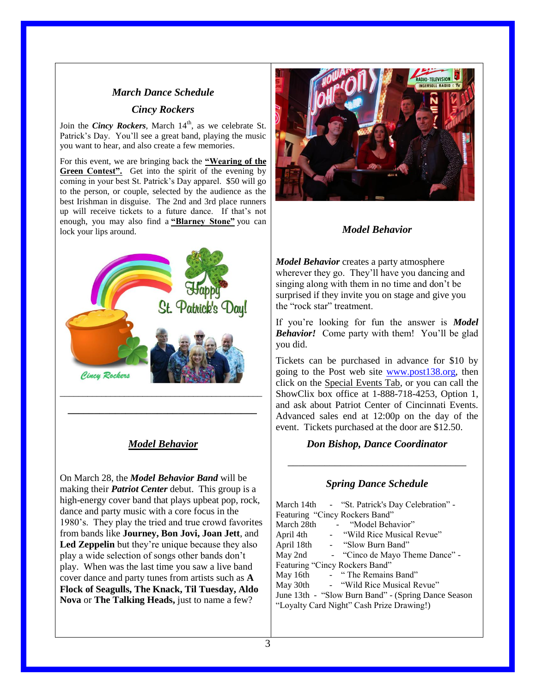# *March Dance Schedule Cincy Rockers*

Join the *Cincy Rockers*, March 14<sup>th</sup>, as we celebrate St. Patrick's Day. You'll see a great band, playing the music you want to hear, and also create a few memories.

For this event, we are bringing back the **"Wearing of the Green Contest".** Get into the spirit of the evening by coming in your best St. Patrick's Day apparel. \$50 will go to the person, or couple, selected by the audience as the best Irishman in disguise. The 2nd and 3rd place runners up will receive tickets to a future dance. If that's not enough, you may also find a **"Blarney Stone"** you can lock your lips around.



## *Model Behavior*

*\_\_\_\_\_\_\_\_\_\_\_\_\_\_\_\_\_\_\_\_\_\_\_\_\_\_\_\_\_\_\_\_\_\_\_\_*

On March 28, the *Model Behavior Band* will be making their *Patriot Center* debut. This group is a high-energy cover band that plays upbeat pop, rock, dance and party music with a core focus in the 1980's. They play the tried and true crowd favorites from bands like **Journey, Bon Jovi, Joan Jett**, and **Led Zeppelin** but they're unique because they also play a wide selection of songs other bands don't play. When was the last time you saw a live band cover dance and party tunes from artists such as **A Flock of Seagulls, The Knack, Til Tuesday, Aldo Nova** or **The Talking Heads,** just to name a few?



## *Model Behavior*

*Model Behavior* creates a party atmosphere wherever they go. They'll have you dancing and singing along with them in no time and don't be surprised if they invite you on stage and give you the "rock star" treatment.

If you're looking for fun the answer is *Model Behavior!* Come party with them! You'll be glad you did.

Tickets can be purchased in advance for \$10 by going to the Post web site [www.post138.org,](http://www.post138.org/) then click on the Special Events Tab, or you can call the ShowClix box office at 1-888-718-4253, Option 1, and ask about Patriot Center of Cincinnati Events. Advanced sales end at 12:00p on the day of the event. Tickets purchased at the door are \$12.50.

*Don Bishop, Dance Coordinator*

\_\_\_\_\_\_\_\_\_\_\_\_\_\_\_\_\_\_\_\_\_\_\_\_\_\_\_\_\_\_\_\_\_\_

## *Spring Dance Schedule*

|                                           |  | March 14th - "St. Patrick's Day Celebration" -      |
|-------------------------------------------|--|-----------------------------------------------------|
|                                           |  | Featuring "Cincy Rockers Band"                      |
| March 28th                                |  | - "Model Behavior"                                  |
| April 4th                                 |  | - "Wild Rice Musical Revue"                         |
|                                           |  | April 18th - "Slow Burn Band"                       |
|                                           |  | May 2nd - "Cinco de Mayo Theme Dance" -             |
| Featuring "Cincy Rockers Band"            |  |                                                     |
|                                           |  | May 16th - "The Remains Band"                       |
| May 30th                                  |  | - "Wild Rice Musical Revue"                         |
|                                           |  | June 13th - "Slow Burn Band" - (Spring Dance Season |
| "Loyalty Card Night" Cash Prize Drawing!) |  |                                                     |
|                                           |  |                                                     |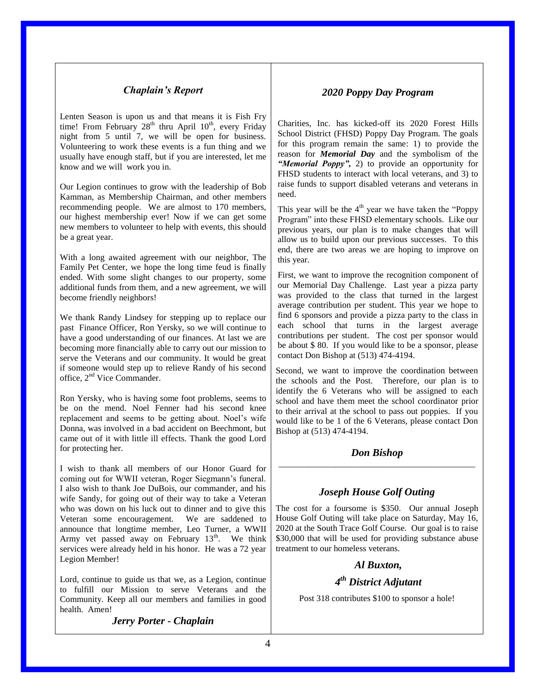## *Chaplain's Report*

Lenten Season is upon us and that means it is Fish Fry time! From February  $28<sup>th</sup>$  thru April  $10<sup>th</sup>$ , every Friday night from 5 until 7, we will be open for business. Volunteering to work these events is a fun thing and we usually have enough staff, but if you are interested, let me know and we will work you in.

Our Legion continues to grow with the leadership of Bob Kamman, as Membership Chairman, and other members recommending people. We are almost to 170 members, our highest membership ever! Now if we can get some new members to volunteer to help with events, this should be a great year.

With a long awaited agreement with our neighbor, The Family Pet Center, we hope the long time feud is finally ended. With some slight changes to our property, some additional funds from them, and a new agreement, we will become friendly neighbors!

We thank Randy Lindsey for stepping up to replace our past Finance Officer, Ron Yersky, so we will continue to have a good understanding of our finances. At last we are becoming more financially able to carry out our mission to serve the Veterans and our community. It would be great if someone would step up to relieve Randy of his second office, 2nd Vice Commander.

Ron Yersky, who is having some foot problems, seems to be on the mend. Noel Fenner had his second knee replacement and seems to be getting about. Noel's wife Donna, was involved in a bad accident on Beechmont, but came out of it with little ill effects. Thank the good Lord for protecting her.

I wish to thank all members of our Honor Guard for coming out for WWII veteran, Roger Siegmann's funeral. I also wish to thank Joe DuBois, our commander, and his wife Sandy, for going out of their way to take a Veteran who was down on his luck out to dinner and to give this Veteran some encouragement. We are saddened to announce that longtime member, Leo Turner, a WWII Army vet passed away on February  $13<sup>th</sup>$ . We think services were already held in his honor. He was a 72 year Legion Member!

Lord, continue to guide us that we, as a Legion, continue to fulfill our Mission to serve Veterans and the Community. Keep all our members and families in good health. Amen!

*Jerry Porter - Chaplain*

### *2020 Poppy Day Program*

Charities, Inc. has kicked-off its 2020 Forest Hills School District (FHSD) Poppy Day Program. The goals for this program remain the same: 1) to provide the reason for *Memorial Day* and the symbolism of the *"Memorial Poppy",* 2) to provide an opportunity for FHSD students to interact with local veterans, and 3) to raise funds to support disabled veterans and veterans in need.

This year will be the  $4<sup>th</sup>$  year we have taken the "Poppy" Program" into these FHSD elementary schools. Like our previous years, our plan is to make changes that will allow us to build upon our previous successes. To this end, there are two areas we are hoping to improve on this year.

First, we want to improve the recognition component of our Memorial Day Challenge. Last year a pizza party was provided to the class that turned in the largest average contribution per student. This year we hope to find 6 sponsors and provide a pizza party to the class in each school that turns in the largest average contributions per student. The cost per sponsor would be about \$ 80. If you would like to be a sponsor, please contact Don Bishop at (513) 474-4194.

Second, we want to improve the coordination between the schools and the Post. Therefore, our plan is to identify the 6 Veterans who will be assigned to each school and have them meet the school coordinator prior to their arrival at the school to pass out poppies. If you would like to be 1 of the 6 Veterans, please contact Don Bishop at (513) 474-4194.

#### *Don Bishop* \_\_\_\_\_\_\_\_\_\_\_\_\_\_\_\_\_\_\_\_\_\_\_\_\_\_\_\_\_\_\_\_\_\_\_\_\_\_\_\_\_\_\_\_\_

### *Joseph House Golf Outing*

The cost for a foursome is \$350. Our annual Joseph House Golf Outing will take place on Saturday, May 16, 2020 at the South Trace Golf Course. Our goal is to raise \$30,000 that will be used for providing substance abuse treatment to our homeless veterans.

### *Al Buxton,*

## *4 th District Adjutant*

Post 318 contributes \$100 to sponsor a hole!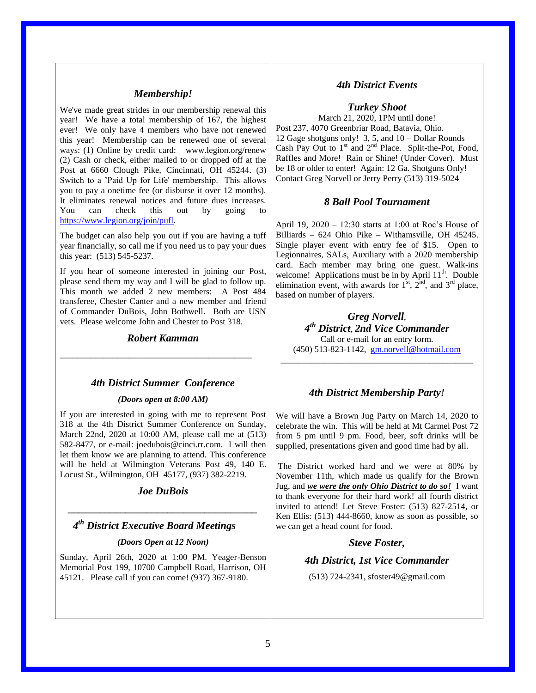### *Membership!*

We've made great strides in our membership renewal this year! We have a total membership of 167, the highest ever! We only have 4 members who have not renewed this year! Membership can be renewed one of several ways: (1) Online by credit card: www.legion.org/renew (2) Cash or check, either mailed to or dropped off at the Post at 6660 Clough Pike, Cincinnati, OH 45244. (3) Switch to a 'Paid Up for Life' membership. This allows you to pay a onetime fee (or disburse it over 12 months). It eliminates renewal notices and future dues increases. You can check this out by going to [https://www.legion.org/join/pufl.](https://www.legion.org/join/pufl)

The budget can also help you out if you are having a tuff year financially, so call me if you need us to pay your dues this year: (513) 545-5237.

If you hear of someone interested in joining our Post, please send them my way and I will be glad to follow up. This month we added 2 new members: A Post 484 transferee, Chester Canter and a new member and friend of Commander DuBois, John Bothwell. Both are USN vets. Please welcome John and Chester to Post 318.

### *Robert Kamman*

\_\_\_\_\_\_\_\_\_\_\_\_\_\_\_\_\_\_\_\_\_\_\_\_\_\_\_\_\_\_\_\_\_\_\_\_\_\_\_\_\_\_\_\_

#### *4th District Summer Conference*

#### *(Doors open at 8:00 AM)*

If you are interested in going with me to represent Post 318 at the 4th District Summer Conference on Sunday, March 22nd, 2020 at 10:00 AM, please call me at (513) 582-8477, or e-mail: joedubois@cinci.rr.com. I will then let them know we are planning to attend. This conference will be held at Wilmington Veterans Post 49, 140 E. Locust St., Wilmington, OH 45177, (937) 382-2219.

# *Joe DuBois \_\_\_\_\_\_\_\_\_\_\_\_\_\_\_\_\_\_\_\_\_\_\_\_\_\_\_\_\_\_\_\_\_\_\_\_*

## *4 th District Executive Board Meetings*

#### *(Doors Open at 12 Noon)*

Sunday, April 26th, 2020 at 1:00 PM. Yeager-Benson Memorial Post 199, 10700 Campbell Road, Harrison, OH 45121. Please call if you can come! (937) 367-9180.

### *4th District Events*

*Turkey Shoot*

March 21, 2020, 1PM until done! Post 237, 4070 Greenbriar Road, Batavia, Ohio. 12 Gage shotguns only! 3, 5, and 10 – Dollar Rounds Cash Pay Out to  $1<sup>st</sup>$  and  $2<sup>nd</sup>$  Place. Split-the-Pot, Food, Raffles and More! Rain or Shine! (Under Cover). Must be 18 or older to enter! Again: 12 Ga. Shotguns Only! Contact Greg Norvell or Jerry Perry (513) 319-5024

#### *8 Ball Pool Tournament*

April 19, 2020 – 12:30 starts at 1:00 at Roc's House of Billiards – 624 Ohio Pike – Withamsville, OH 45245. Single player event with entry fee of \$15. Open to Legionnaires, SALs, Auxiliary with a 2020 membership card. Each member may bring one guest. Walk-ins welcome! Applications must be in by April  $11<sup>th</sup>$ . Double elimination event, with awards for  $1<sup>st</sup>$ ,  $2<sup>nd</sup>$ , and  $3<sup>rd</sup>$  place, based on number of players.

*Greg Norvell*, *4 th District*, *2nd Vice Commander* Call or e-mail for an entry form. (450) 513-823-1142, [gm.norvell@hotmail.com](mailto:gm.norvell@hotmail.com) \_\_\_\_\_\_\_\_\_\_\_\_\_\_\_\_\_\_\_\_\_\_\_\_\_\_\_\_\_\_\_\_\_\_\_\_\_\_\_\_\_\_\_\_

#### *4th District Membership Party!*

We will have a Brown Jug Party on March 14, 2020 to celebrate the win. This will be held at Mt Carmel Post 72 from 5 pm until 9 pm. Food, beer, soft drinks will be supplied, presentations given and good time had by all.

The District worked hard and we were at 80% by November 11th, which made us qualify for the Brown Jug, and *we were the only Ohio District to do so!* I want to thank everyone for their hard work! all fourth district invited to attend! Let Steve Foster: (513) 827-2514, or Ken Ellis: (513) 444-8660, know as soon as possible, so we can get a head count for food.

### *Steve Foster,*

#### *4th District, 1st Vice Commander*

(513) 724-2341, sfoster49@gmail.com